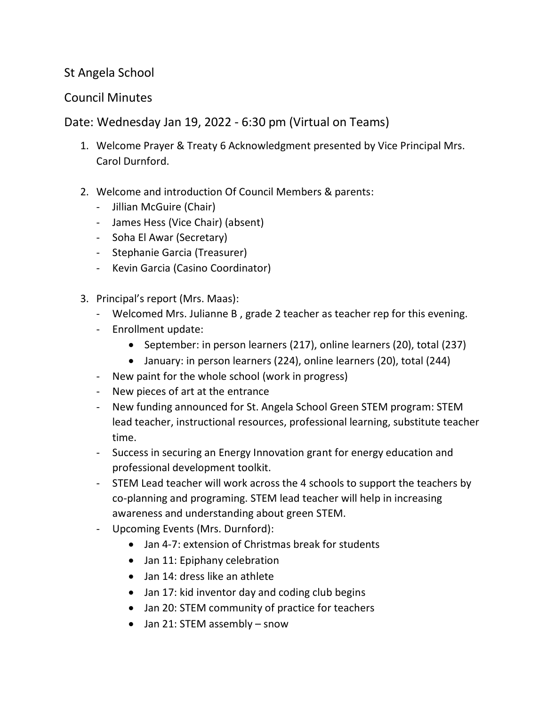## St Angela School

## Council Minutes

## Date: Wednesday Jan 19, 2022 - 6:30 pm (Virtual on Teams)

- 1. Welcome Prayer & Treaty 6 Acknowledgment presented by Vice Principal Mrs. Carol Durnford.
- 2. Welcome and introduction Of Council Members & parents:
	- Jillian McGuire (Chair)
	- James Hess (Vice Chair) (absent)
	- Soha El Awar (Secretary)
	- Stephanie Garcia (Treasurer)
	- Kevin Garcia (Casino Coordinator)
- 3. Principal's report (Mrs. Maas):
	- Welcomed Mrs. Julianne B , grade 2 teacher as teacher rep for this evening.
	- Enrollment update:
		- September: in person learners (217), online learners (20), total (237)
		- January: in person learners (224), online learners (20), total (244)
	- New paint for the whole school (work in progress)
	- New pieces of art at the entrance
	- New funding announced for St. Angela School Green STEM program: STEM lead teacher, instructional resources, professional learning, substitute teacher time.
	- Success in securing an Energy Innovation grant for energy education and professional development toolkit.
	- STEM Lead teacher will work across the 4 schools to support the teachers by co-planning and programing. STEM lead teacher will help in increasing awareness and understanding about green STEM.
	- Upcoming Events (Mrs. Durnford):
		- Jan 4-7: extension of Christmas break for students
		- Jan 11: Epiphany celebration
		- Jan 14: dress like an athlete
		- Jan 17: kid inventor day and coding club begins
		- Jan 20: STEM community of practice for teachers
		- Jan 21: STEM assembly snow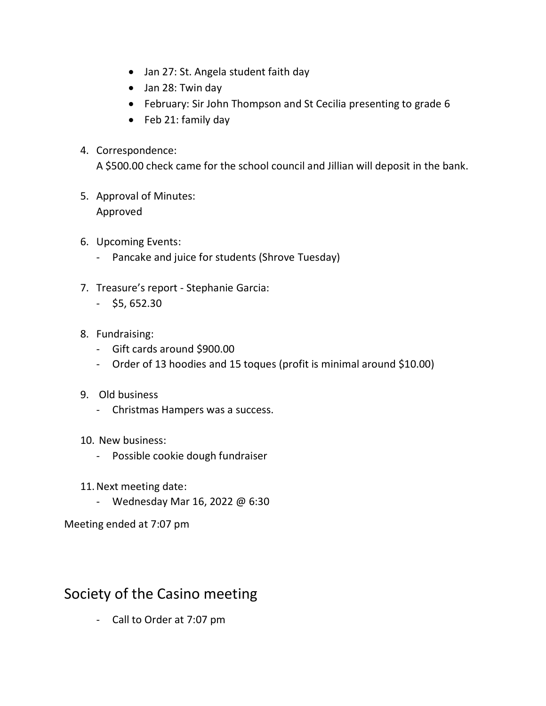- Jan 27: St. Angela student faith day
- Jan 28: Twin day
- February: Sir John Thompson and St Cecilia presenting to grade 6
- Feb 21: family day
- 4. Correspondence:

A \$500.00 check came for the school council and Jillian will deposit in the bank.

- 5. Approval of Minutes: Approved
- 6. Upcoming Events:
	- Pancake and juice for students (Shrove Tuesday)
- 7. Treasure's report Stephanie Garcia:
	- $-$  \$5, 652.30
- 8. Fundraising:
	- Gift cards around \$900.00
	- Order of 13 hoodies and 15 toques (profit is minimal around \$10.00)
- 9. Old business
	- Christmas Hampers was a success.
- 10. New business:
	- Possible cookie dough fundraiser
- 11.Next meeting date:
	- Wednesday Mar 16, 2022 @ 6:30

Meeting ended at 7:07 pm

## Society of the Casino meeting

- Call to Order at 7:07 pm